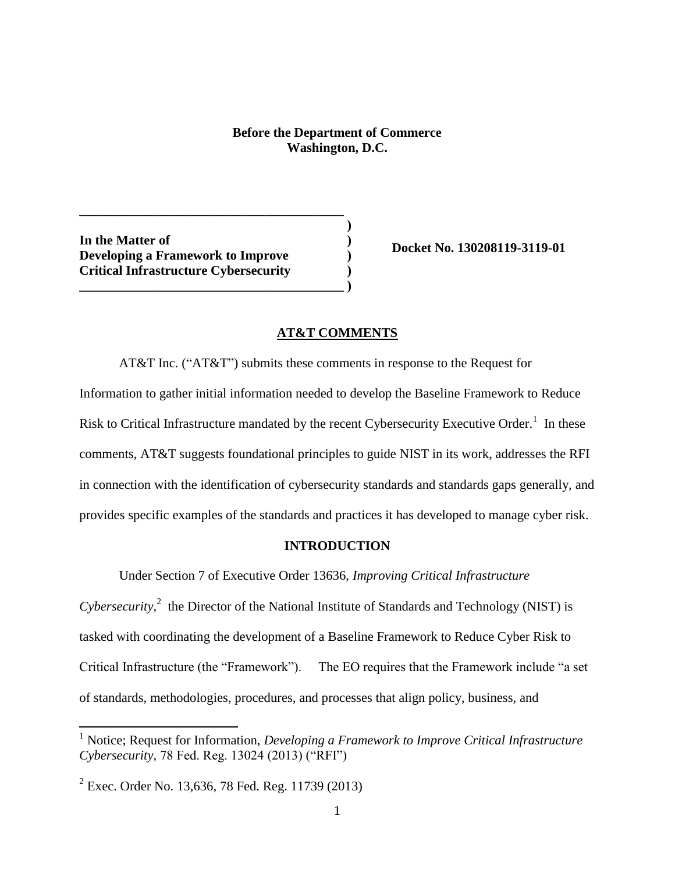## **Before the Department of Commerce Washington, D.C.**

**) ) ) ) )**

**\_\_\_\_\_\_\_\_\_\_\_\_\_\_\_\_\_\_\_\_\_\_\_\_\_\_\_\_\_\_\_\_\_\_\_\_\_\_\_\_ Special Publication: 800-164 (Draft)**

**In the Matter of Developing a Framework to Improve Critical Infrastructure Cybersecurity**

**\_\_\_\_\_\_\_\_\_\_\_\_\_\_\_\_\_\_\_\_\_\_\_\_\_\_\_\_\_\_\_\_\_\_\_\_\_\_\_\_**

**Docket No. 130208119-3119-01**

## **AT&T COMMENTS**

AT&T Inc. ("AT&T") submits these comments in response to the Request for Information to gather initial information needed to develop the Baseline Framework to Reduce Risk to Critical Infrastructure mandated by the recent Cybersecurity Executive Order.<sup>1</sup> In these comments, AT&T suggests foundational principles to guide NIST in its work, addresses the RFI in connection with the identification of cybersecurity standards and standards gaps generally, and provides specific examples of the standards and practices it has developed to manage cyber risk.

## **INTRODUCTION**

Under Section 7 of Executive Order 13636, *Improving Critical Infrastructure* 

Cybersecurity,<sup>2</sup> the Director of the National Institute of Standards and Technology (NIST) is tasked with coordinating the development of a Baseline Framework to Reduce Cyber Risk to Critical Infrastructure (the "Framework"). The EO requires that the Framework include "a set of standards, methodologies, procedures, and processes that align policy, business, and

 $\overline{a}$ 

<sup>1</sup> Notice; Request for Information, *Developing a Framework to Improve Critical Infrastructure Cybersecurity,* 78 Fed. Reg. 13024 (2013) ("RFI")

 $2^{2}$  Exec. Order No. 13,636, 78 Fed. Reg. 11739 (2013)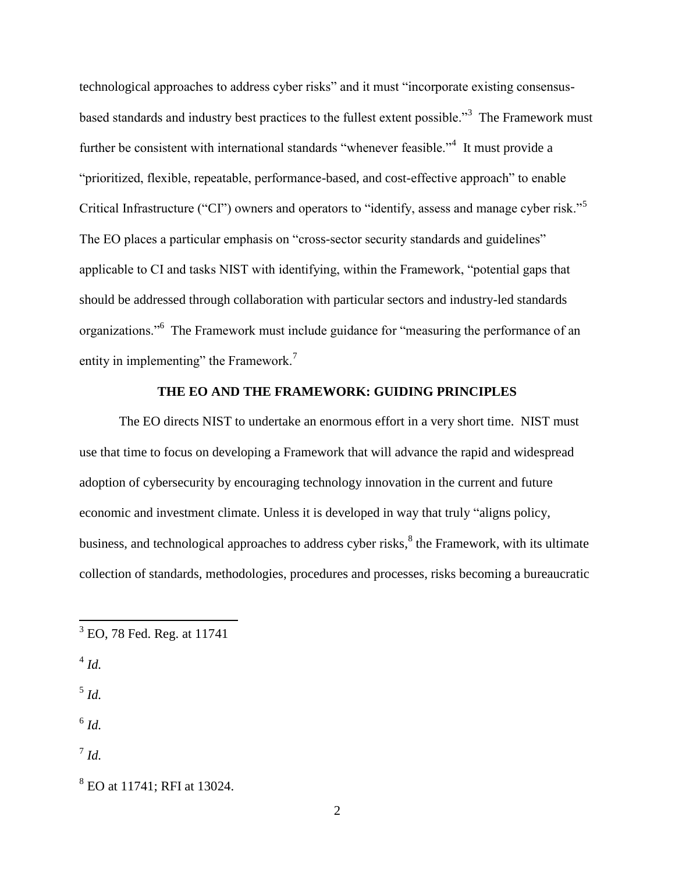technological approaches to address cyber risks" and it must "incorporate existing consensusbased standards and industry best practices to the fullest extent possible."<sup>3</sup> The Framework must further be consistent with international standards "whenever feasible."<sup>4</sup> It must provide a "prioritized, flexible, repeatable, performance-based, and cost-effective approach" to enable Critical Infrastructure ("CI") owners and operators to "identify, assess and manage cyber risk."<sup>5</sup> The EO places a particular emphasis on "cross-sector security standards and guidelines" applicable to CI and tasks NIST with identifying, within the Framework, "potential gaps that should be addressed through collaboration with particular sectors and industry-led standards organizations."<sup>6</sup> The Framework must include guidance for "measuring the performance of an entity in implementing" the Framework.<sup>7</sup>

## **THE EO AND THE FRAMEWORK: GUIDING PRINCIPLES**

The EO directs NIST to undertake an enormous effort in a very short time. NIST must use that time to focus on developing a Framework that will advance the rapid and widespread adoption of cybersecurity by encouraging technology innovation in the current and future economic and investment climate. Unless it is developed in way that truly "aligns policy, business, and technological approaches to address cyber risks,  $\delta$  the Framework, with its ultimate collection of standards, methodologies, procedures and processes, risks becoming a bureaucratic

4 *Id.*

 $\overline{\phantom{a}}$ 

5 *Id.*

6 *Id.*

7 *Id.* 

 $3$  EO, 78 Fed. Reg. at 11741

<sup>8</sup> EO at 11741; RFI at 13024.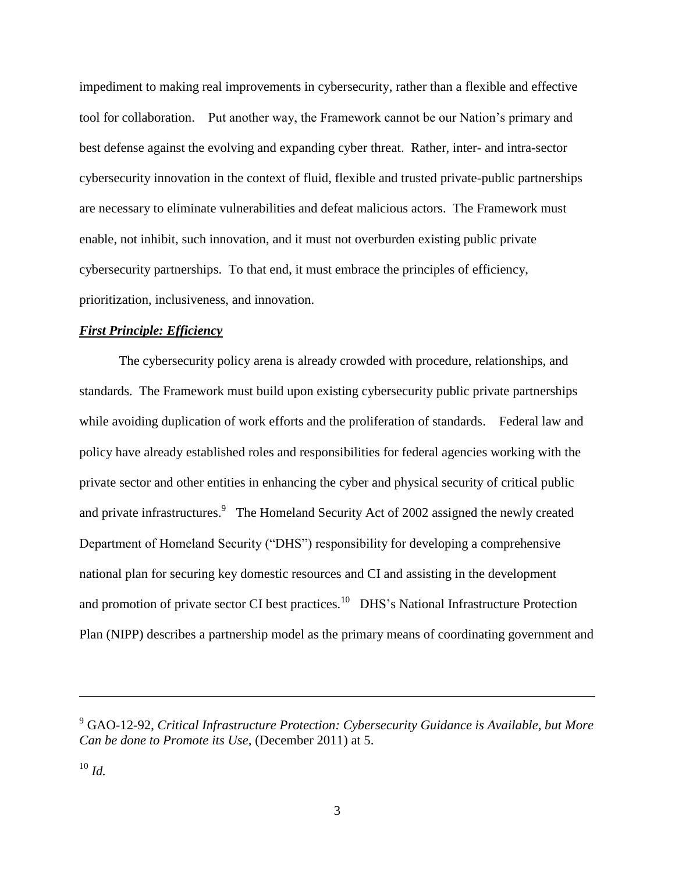impediment to making real improvements in cybersecurity, rather than a flexible and effective tool for collaboration. Put another way, the Framework cannot be our Nation's primary and best defense against the evolving and expanding cyber threat. Rather, inter- and intra-sector cybersecurity innovation in the context of fluid, flexible and trusted private-public partnerships are necessary to eliminate vulnerabilities and defeat malicious actors. The Framework must enable, not inhibit, such innovation, and it must not overburden existing public private cybersecurity partnerships. To that end, it must embrace the principles of efficiency, prioritization, inclusiveness, and innovation.

## *First Principle: Efficiency*

The cybersecurity policy arena is already crowded with procedure, relationships, and standards. The Framework must build upon existing cybersecurity public private partnerships while avoiding duplication of work efforts and the proliferation of standards. Federal law and policy have already established roles and responsibilities for federal agencies working with the private sector and other entities in enhancing the cyber and physical security of critical public and private infrastructures.<sup>9</sup> The Homeland Security Act of 2002 assigned the newly created Department of Homeland Security ("DHS") responsibility for developing a comprehensive national plan for securing key domestic resources and CI and assisting in the development and promotion of private sector CI best practices.<sup>10</sup> DHS's National Infrastructure Protection Plan (NIPP) describes a partnership model as the primary means of coordinating government and

<sup>9</sup> GAO-12-92, *Critical Infrastructure Protection: Cybersecurity Guidance is Available, but More Can be done to Promote its Use,* (December 2011) at 5.

<sup>10</sup> *Id.*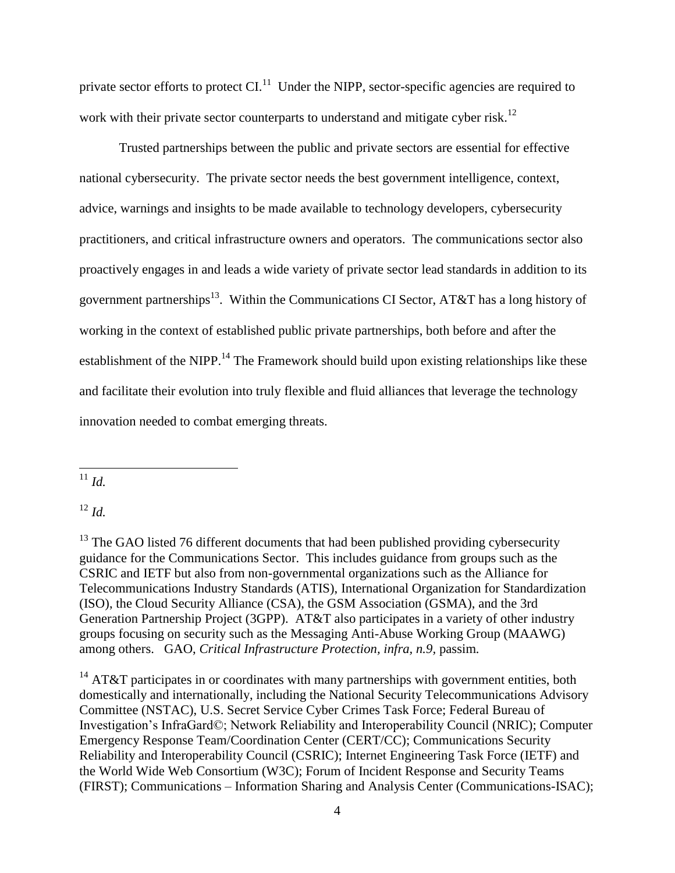private sector efforts to protect  $CI$ .<sup>11</sup> Under the NIPP, sector-specific agencies are required to work with their private sector counterparts to understand and mitigate cyber risk.<sup>12</sup>

Trusted partnerships between the public and private sectors are essential for effective national cybersecurity. The private sector needs the best government intelligence, context, advice, warnings and insights to be made available to technology developers, cybersecurity practitioners, and critical infrastructure owners and operators. The communications sector also proactively engages in and leads a wide variety of private sector lead standards in addition to its government partnerships<sup>13</sup>. Within the Communications CI Sector, AT&T has a long history of working in the context of established public private partnerships, both before and after the establishment of the NIPP.<sup>14</sup> The Framework should build upon existing relationships like these and facilitate their evolution into truly flexible and fluid alliances that leverage the technology innovation needed to combat emerging threats.

l <sup>11</sup> *Id.*

 $12$  *Id.* 

 $13$  The GAO listed 76 different documents that had been published providing cybersecurity guidance for the Communications Sector. This includes guidance from groups such as the CSRIC and IETF but also from non-governmental organizations such as the Alliance for Telecommunications Industry Standards (ATIS), International Organization for Standardization (ISO), the Cloud Security Alliance (CSA), the GSM Association (GSMA), and the 3rd Generation Partnership Project (3GPP). AT&T also participates in a variety of other industry groups focusing on security such as the Messaging Anti-Abuse Working Group (MAAWG) among others. GAO, *Critical Infrastructure Protection, infra, n.9,* passim*.*

<sup>14</sup> AT&T participates in or coordinates with many partnerships with government entities, both domestically and internationally, including the National Security Telecommunications Advisory Committee (NSTAC), U.S. Secret Service Cyber Crimes Task Force; Federal Bureau of Investigation's InfraGard©; Network Reliability and Interoperability Council (NRIC); Computer Emergency Response Team/Coordination Center (CERT/CC); Communications Security Reliability and Interoperability Council (CSRIC); Internet Engineering Task Force (IETF) and the World Wide Web Consortium (W3C); Forum of Incident Response and Security Teams (FIRST); Communications – Information Sharing and Analysis Center (Communications-ISAC);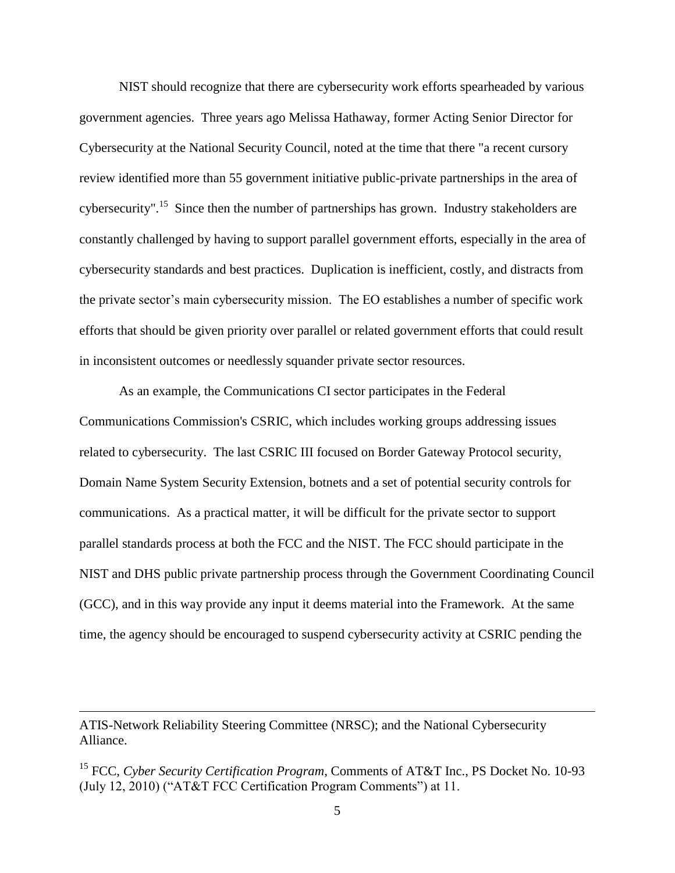NIST should recognize that there are cybersecurity work efforts spearheaded by various government agencies. Three years ago Melissa Hathaway, former Acting Senior Director for Cybersecurity at the National Security Council, noted at the time that there "a recent cursory review identified more than 55 government initiative public-private partnerships in the area of cybersecurity".<sup>15</sup> Since then the number of partnerships has grown. Industry stakeholders are constantly challenged by having to support parallel government efforts, especially in the area of cybersecurity standards and best practices. Duplication is inefficient, costly, and distracts from the private sector's main cybersecurity mission. The EO establishes a number of specific work efforts that should be given priority over parallel or related government efforts that could result in inconsistent outcomes or needlessly squander private sector resources.

As an example, the Communications CI sector participates in the Federal Communications Commission's CSRIC, which includes working groups addressing issues related to cybersecurity. The last CSRIC III focused on Border Gateway Protocol security, Domain Name System Security Extension, botnets and a set of potential security controls for communications. As a practical matter, it will be difficult for the private sector to support parallel standards process at both the FCC and the NIST. The FCC should participate in the NIST and DHS public private partnership process through the Government Coordinating Council (GCC), and in this way provide any input it deems material into the Framework. At the same time, the agency should be encouraged to suspend cybersecurity activity at CSRIC pending the

l

ATIS-Network Reliability Steering Committee (NRSC); and the National Cybersecurity Alliance.

<sup>&</sup>lt;sup>15</sup> FCC, *Cyber Security Certification Program*, Comments of AT&T Inc., PS Docket No. 10-93 (July 12, 2010) ("AT&T FCC Certification Program Comments") at 11.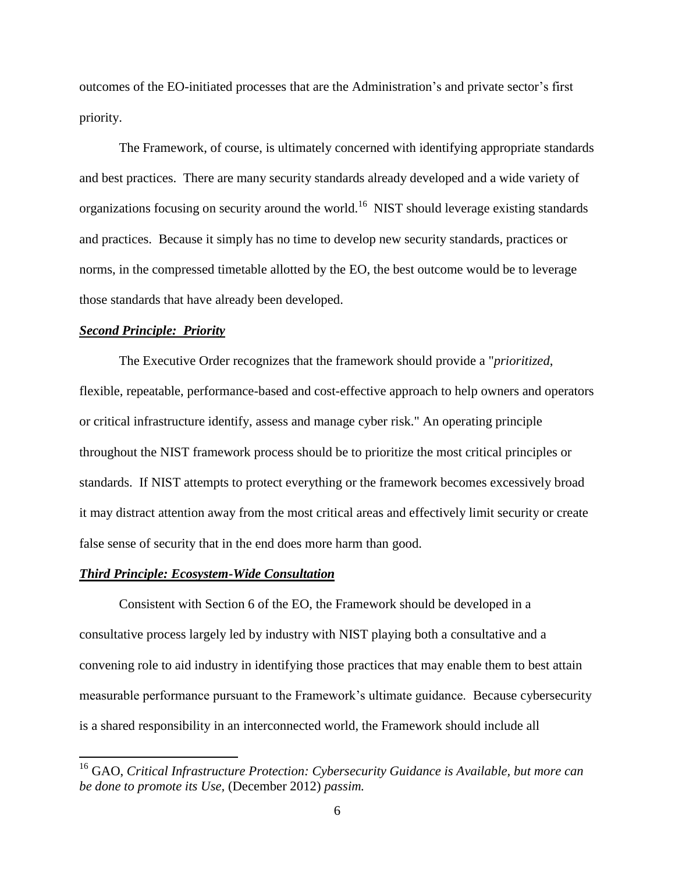outcomes of the EO-initiated processes that are the Administration's and private sector's first priority.

The Framework, of course, is ultimately concerned with identifying appropriate standards and best practices. There are many security standards already developed and a wide variety of organizations focusing on security around the world.<sup>16</sup> NIST should leverage existing standards and practices. Because it simply has no time to develop new security standards, practices or norms, in the compressed timetable allotted by the EO, the best outcome would be to leverage those standards that have already been developed.

#### *Second Principle: Priority*

 $\overline{\phantom{a}}$ 

The Executive Order recognizes that the framework should provide a "*prioritized*, flexible, repeatable, performance-based and cost-effective approach to help owners and operators or critical infrastructure identify, assess and manage cyber risk." An operating principle throughout the NIST framework process should be to prioritize the most critical principles or standards. If NIST attempts to protect everything or the framework becomes excessively broad it may distract attention away from the most critical areas and effectively limit security or create false sense of security that in the end does more harm than good.

#### *Third Principle: Ecosystem-Wide Consultation*

Consistent with Section 6 of the EO, the Framework should be developed in a consultative process largely led by industry with NIST playing both a consultative and a convening role to aid industry in identifying those practices that may enable them to best attain measurable performance pursuant to the Framework's ultimate guidance. Because cybersecurity is a shared responsibility in an interconnected world, the Framework should include all

<sup>16</sup> GAO, *Critical Infrastructure Protection: Cybersecurity Guidance is Available, but more can be done to promote its Use,* (December 2012) *passim.*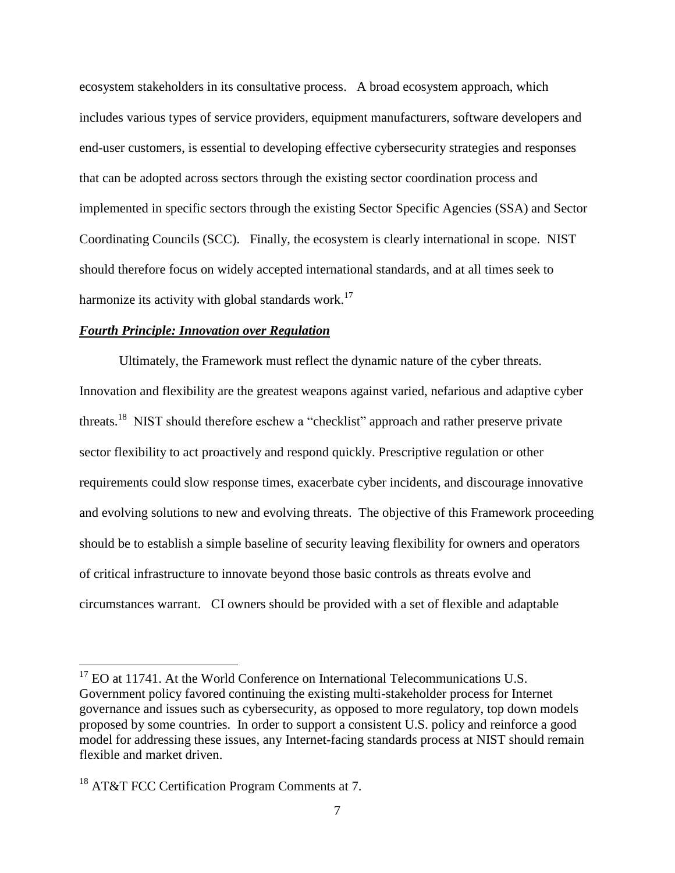ecosystem stakeholders in its consultative process. A broad ecosystem approach, which includes various types of service providers, equipment manufacturers, software developers and end-user customers, is essential to developing effective cybersecurity strategies and responses that can be adopted across sectors through the existing sector coordination process and implemented in specific sectors through the existing Sector Specific Agencies (SSA) and Sector Coordinating Councils (SCC). Finally, the ecosystem is clearly international in scope. NIST should therefore focus on widely accepted international standards, and at all times seek to harmonize its activity with global standards work.<sup>17</sup>

## *Fourth Principle: Innovation over Regulation*

Ultimately, the Framework must reflect the dynamic nature of the cyber threats. Innovation and flexibility are the greatest weapons against varied, nefarious and adaptive cyber threats.<sup>18</sup> NIST should therefore eschew a "checklist" approach and rather preserve private sector flexibility to act proactively and respond quickly. Prescriptive regulation or other requirements could slow response times, exacerbate cyber incidents, and discourage innovative and evolving solutions to new and evolving threats. The objective of this Framework proceeding should be to establish a simple baseline of security leaving flexibility for owners and operators of critical infrastructure to innovate beyond those basic controls as threats evolve and circumstances warrant. CI owners should be provided with a set of flexible and adaptable

 $17$  EO at 11741. At the World Conference on International Telecommunications U.S. Government policy favored continuing the existing multi-stakeholder process for Internet governance and issues such as cybersecurity, as opposed to more regulatory, top down models proposed by some countries. In order to support a consistent U.S. policy and reinforce a good model for addressing these issues, any Internet-facing standards process at NIST should remain flexible and market driven.

<sup>&</sup>lt;sup>18</sup> AT&T FCC Certification Program Comments at 7.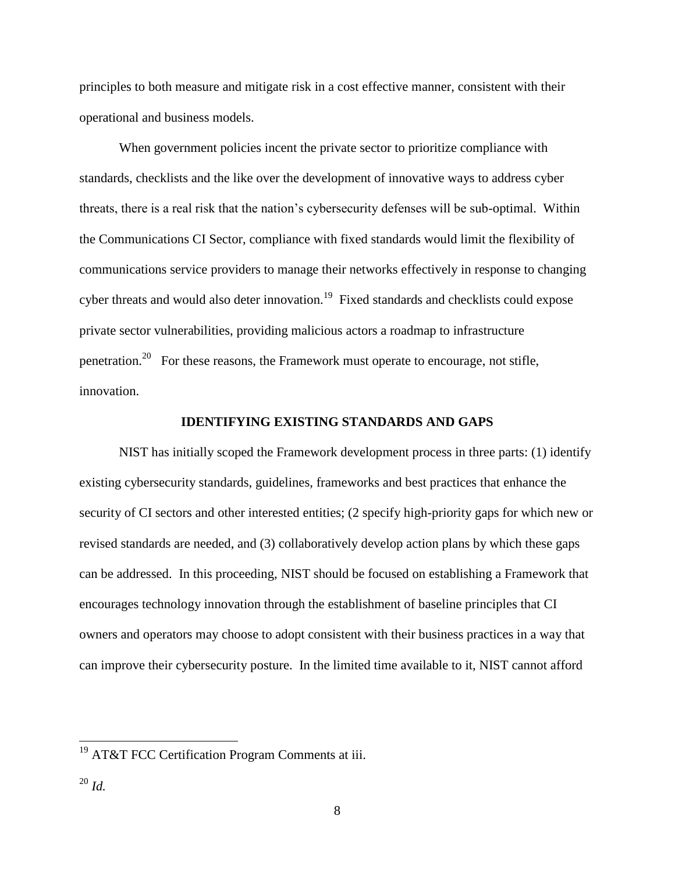principles to both measure and mitigate risk in a cost effective manner, consistent with their operational and business models.

When government policies incent the private sector to prioritize compliance with standards, checklists and the like over the development of innovative ways to address cyber threats, there is a real risk that the nation's cybersecurity defenses will be sub-optimal. Within the Communications CI Sector, compliance with fixed standards would limit the flexibility of communications service providers to manage their networks effectively in response to changing cyber threats and would also deter innovation.<sup>19</sup> Fixed standards and checklists could expose private sector vulnerabilities, providing malicious actors a roadmap to infrastructure penetration.<sup>20</sup> For these reasons, the Framework must operate to encourage, not stifle, innovation.

#### **IDENTIFYING EXISTING STANDARDS AND GAPS**

NIST has initially scoped the Framework development process in three parts: (1) identify existing cybersecurity standards, guidelines, frameworks and best practices that enhance the security of CI sectors and other interested entities; (2 specify high-priority gaps for which new or revised standards are needed, and (3) collaboratively develop action plans by which these gaps can be addressed. In this proceeding, NIST should be focused on establishing a Framework that encourages technology innovation through the establishment of baseline principles that CI owners and operators may choose to adopt consistent with their business practices in a way that can improve their cybersecurity posture. In the limited time available to it, NIST cannot afford

 $19$  AT&T FCC Certification Program Comments at iii.

<sup>20</sup> *Id.*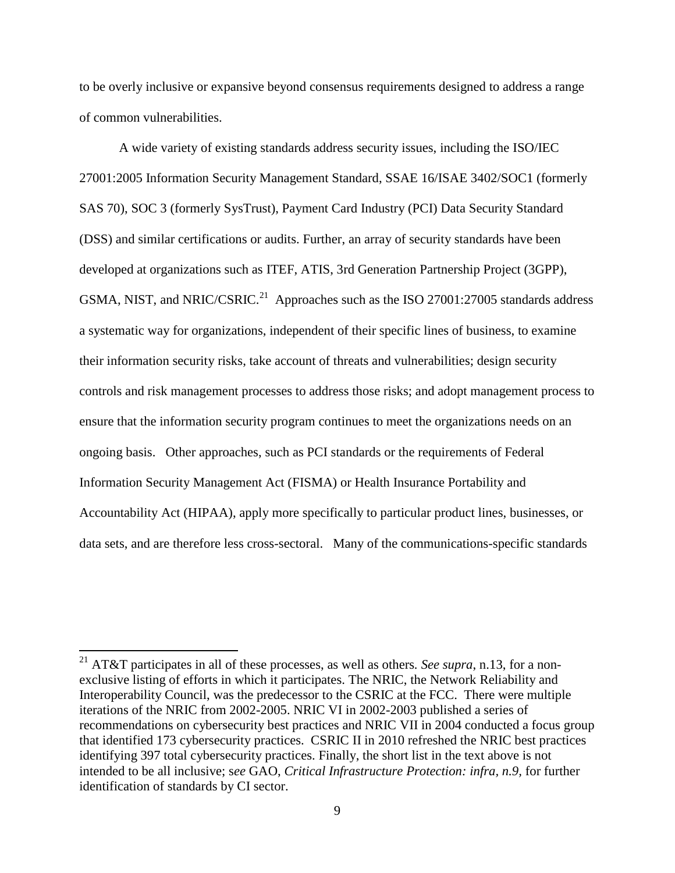to be overly inclusive or expansive beyond consensus requirements designed to address a range of common vulnerabilities.

A wide variety of existing standards address security issues, including the ISO/IEC 27001:2005 Information Security Management Standard, SSAE 16/ISAE 3402/SOC1 (formerly SAS 70), SOC 3 (formerly SysTrust), Payment Card Industry (PCI) Data Security Standard (DSS) and similar certifications or audits. Further, an array of security standards have been developed at organizations such as ITEF, ATIS, 3rd Generation Partnership Project (3GPP), GSMA, NIST, and NRIC/CSRIC.<sup>21</sup> Approaches such as the ISO 27001:27005 standards address a systematic way for organizations, independent of their specific lines of business, to examine their information security risks, take account of threats and vulnerabilities; design security controls and risk management processes to address those risks; and adopt management process to ensure that the information security program continues to meet the organizations needs on an ongoing basis. Other approaches, such as PCI standards or the requirements of Federal Information Security Management Act (FISMA) or Health Insurance Portability and Accountability Act (HIPAA), apply more specifically to particular product lines, businesses, or data sets, and are therefore less cross-sectoral. Many of the communications-specific standards

 $\overline{a}$ 

<sup>21</sup> AT&T participates in all of these processes, as well as others*. See supra*, n.13, for a nonexclusive listing of efforts in which it participates. The NRIC, the Network Reliability and Interoperability Council, was the predecessor to the CSRIC at the FCC. There were multiple iterations of the NRIC from 2002-2005. NRIC VI in 2002-2003 published a series of recommendations on cybersecurity best practices and NRIC VII in 2004 conducted a focus group that identified 173 cybersecurity practices. CSRIC II in 2010 refreshed the NRIC best practices identifying 397 total cybersecurity practices. Finally, the short list in the text above is not intended to be all inclusive; s*ee* GAO, *Critical Infrastructure Protection: infra, n.9,* for further identification of standards by CI sector.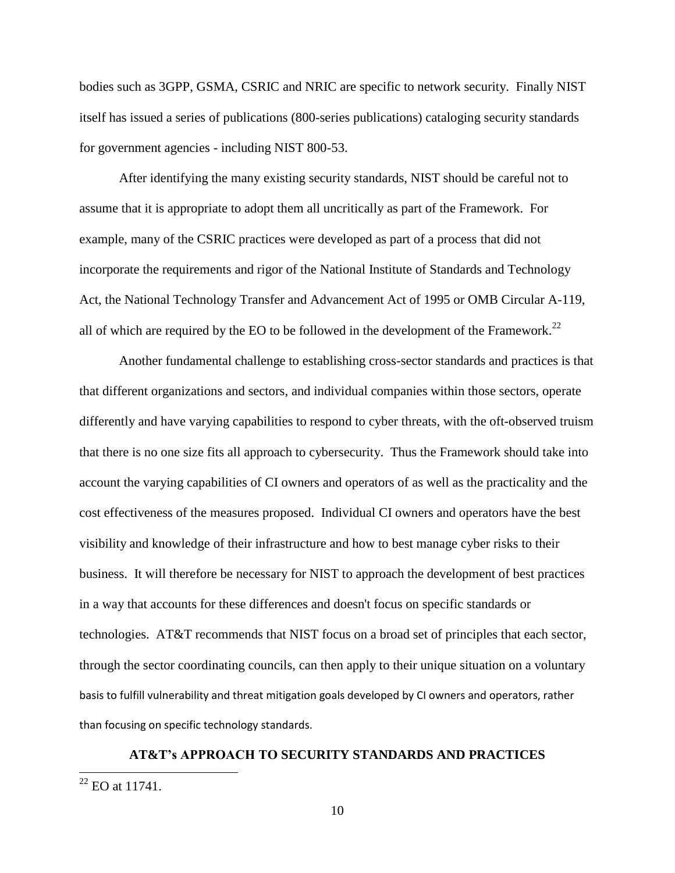bodies such as 3GPP, GSMA, CSRIC and NRIC are specific to network security. Finally NIST itself has issued a series of publications (800-series publications) cataloging security standards for government agencies - including NIST 800-53.

After identifying the many existing security standards, NIST should be careful not to assume that it is appropriate to adopt them all uncritically as part of the Framework. For example, many of the CSRIC practices were developed as part of a process that did not incorporate the requirements and rigor of the National Institute of Standards and Technology Act, the National Technology Transfer and Advancement Act of 1995 or OMB Circular A-119, all of which are required by the EO to be followed in the development of the Framework.<sup>22</sup>

Another fundamental challenge to establishing cross-sector standards and practices is that that different organizations and sectors, and individual companies within those sectors, operate differently and have varying capabilities to respond to cyber threats, with the oft-observed truism that there is no one size fits all approach to cybersecurity. Thus the Framework should take into account the varying capabilities of CI owners and operators of as well as the practicality and the cost effectiveness of the measures proposed. Individual CI owners and operators have the best visibility and knowledge of their infrastructure and how to best manage cyber risks to their business. It will therefore be necessary for NIST to approach the development of best practices in a way that accounts for these differences and doesn't focus on specific standards or technologies. AT&T recommends that NIST focus on a broad set of principles that each sector, through the sector coordinating councils, can then apply to their unique situation on a voluntary basis to fulfill vulnerability and threat mitigation goals developed by CI owners and operators, rather than focusing on specific technology standards.

# **AT&T's APPROACH TO SECURITY STANDARDS AND PRACTICES**

 $^{22}$  EO at 11741.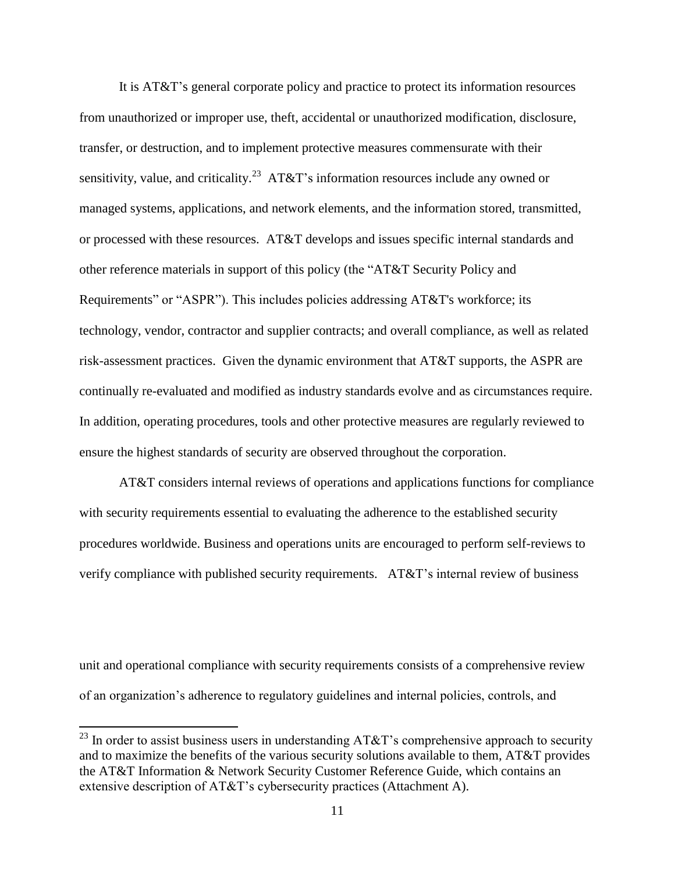It is AT&T's general corporate policy and practice to protect its information resources from unauthorized or improper use, theft, accidental or unauthorized modification, disclosure, transfer, or destruction, and to implement protective measures commensurate with their sensitivity, value, and criticality.<sup>23</sup> AT&T's information resources include any owned or managed systems, applications, and network elements, and the information stored, transmitted, or processed with these resources. AT&T develops and issues specific internal standards and other reference materials in support of this policy (the "AT&T Security Policy and Requirements" or "ASPR"). This includes policies addressing AT&T's workforce; its technology, vendor, contractor and supplier contracts; and overall compliance, as well as related risk-assessment practices. Given the dynamic environment that AT&T supports, the ASPR are continually re-evaluated and modified as industry standards evolve and as circumstances require. In addition, operating procedures, tools and other protective measures are regularly reviewed to ensure the highest standards of security are observed throughout the corporation.

AT&T considers internal reviews of operations and applications functions for compliance with security requirements essential to evaluating the adherence to the established security procedures worldwide. Business and operations units are encouraged to perform self-reviews to verify compliance with published security requirements. AT&T's internal review of business

unit and operational compliance with security requirements consists of a comprehensive review of an organization's adherence to regulatory guidelines and internal policies, controls, and

 $\overline{a}$ 

<sup>&</sup>lt;sup>23</sup> In order to assist business users in understanding AT&T's comprehensive approach to security and to maximize the benefits of the various security solutions available to them, AT&T provides the AT&T Information & Network Security Customer Reference Guide, which contains an extensive description of AT&T's cybersecurity practices (Attachment A).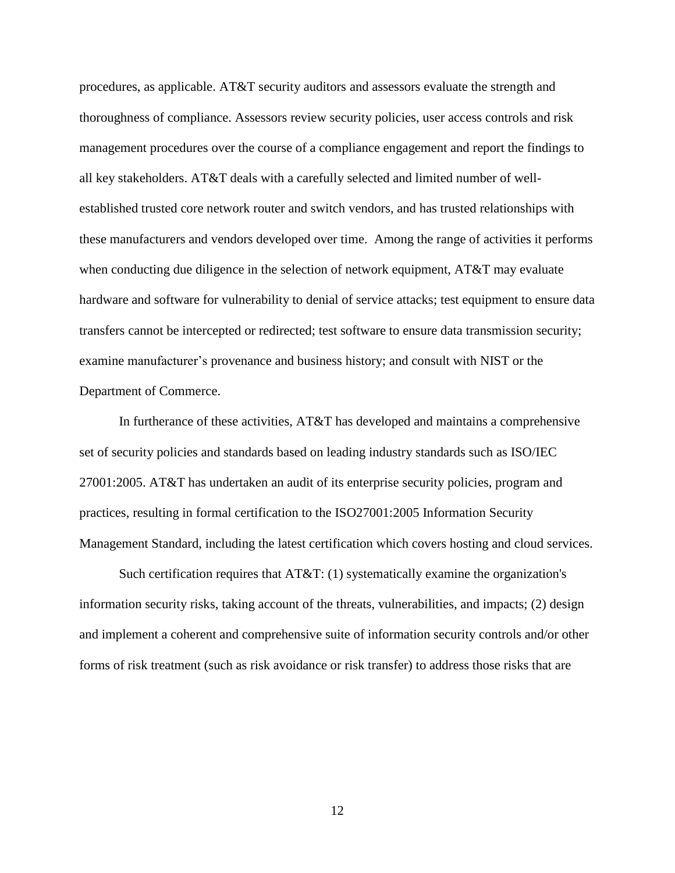procedures, as applicable. AT&T security auditors and assessors evaluate the strength and thoroughness of compliance. Assessors review security policies, user access controls and risk management procedures over the course of a compliance engagement and report the findings to all key stakeholders. AT&T deals with a carefully selected and limited number of wellestablished trusted core network router and switch vendors, and has trusted relationships with these manufacturers and vendors developed over time. Among the range of activities it performs when conducting due diligence in the selection of network equipment, AT&T may evaluate hardware and software for vulnerability to denial of service attacks; test equipment to ensure data transfers cannot be intercepted or redirected; test software to ensure data transmission security; examine manufacturer's provenance and business history; and consult with NIST or the Department of Commerce.

In furtherance of these activities, AT&T has developed and maintains a comprehensive set of security policies and standards based on leading industry standards such as ISO/IEC 27001:2005. AT&T has undertaken an audit of its enterprise security policies, program and practices, resulting in formal certification to the ISO27001:2005 Information Security Management Standard, including the latest certification which covers hosting and cloud services.

Such certification requires that AT&T: (1) systematically examine the organization's information security risks, taking account of the threats, vulnerabilities, and impacts; (2) design and implement a coherent and comprehensive suite of information security controls and/or other forms of risk treatment (such as risk avoidance or risk transfer) to address those risks that are

12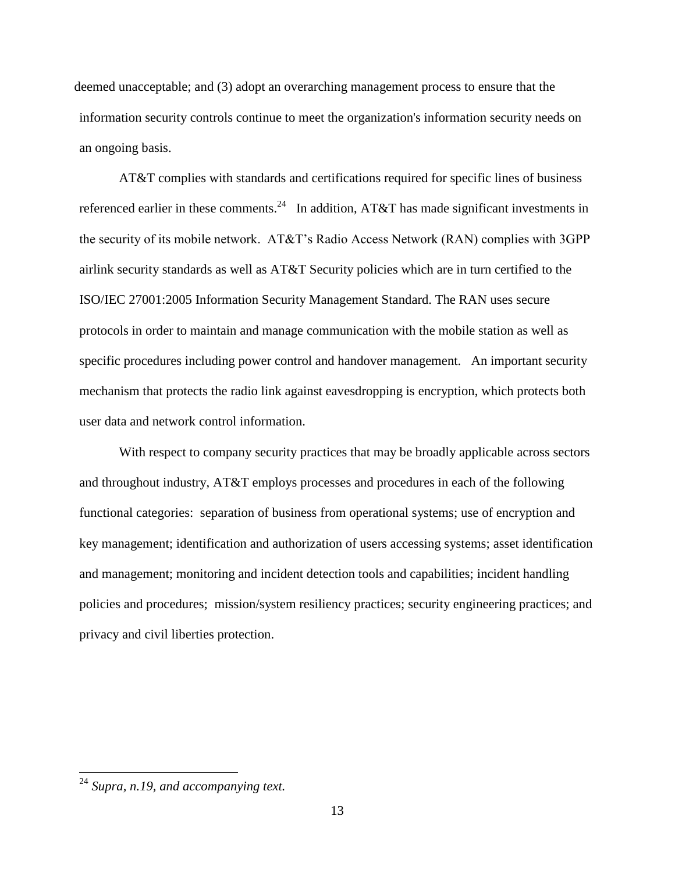deemed unacceptable; and (3) adopt an overarching management process to ensure that the information security controls continue to meet the organization's information security needs on an ongoing basis.

AT&T complies with standards and certifications required for specific lines of business referenced earlier in these comments.<sup>24</sup> In addition, AT&T has made significant investments in the security of its mobile network. AT&T's Radio Access Network (RAN) complies with 3GPP airlink security standards as well as AT&T Security policies which are in turn certified to the ISO/IEC 27001:2005 Information Security Management Standard. The RAN uses secure protocols in order to maintain and manage communication with the mobile station as well as specific procedures including power control and handover management. An important security mechanism that protects the radio link against eavesdropping is encryption, which protects both user data and network control information.

With respect to company security practices that may be broadly applicable across sectors and throughout industry, AT&T employs processes and procedures in each of the following functional categories: separation of business from operational systems; use of encryption and key management; identification and authorization of users accessing systems; asset identification and management; monitoring and incident detection tools and capabilities; incident handling policies and procedures; mission/system resiliency practices; security engineering practices; and privacy and civil liberties protection.

<sup>24</sup> *Supra, n.19, and accompanying text.*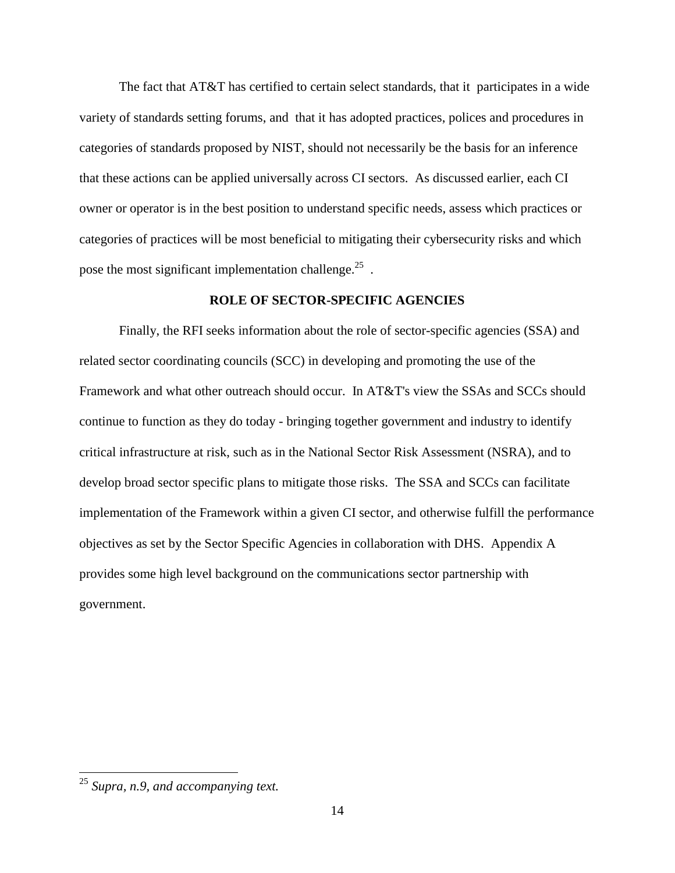The fact that AT&T has certified to certain select standards, that it participates in a wide variety of standards setting forums, and that it has adopted practices, polices and procedures in categories of standards proposed by NIST, should not necessarily be the basis for an inference that these actions can be applied universally across CI sectors. As discussed earlier, each CI owner or operator is in the best position to understand specific needs, assess which practices or categories of practices will be most beneficial to mitigating their cybersecurity risks and which pose the most significant implementation challenge. $^{25}$ .

#### **ROLE OF SECTOR-SPECIFIC AGENCIES**

Finally, the RFI seeks information about the role of sector-specific agencies (SSA) and related sector coordinating councils (SCC) in developing and promoting the use of the Framework and what other outreach should occur. In AT&T's view the SSAs and SCCs should continue to function as they do today - bringing together government and industry to identify critical infrastructure at risk, such as in the National Sector Risk Assessment (NSRA), and to develop broad sector specific plans to mitigate those risks. The SSA and SCCs can facilitate implementation of the Framework within a given CI sector, and otherwise fulfill the performance objectives as set by the Sector Specific Agencies in collaboration with DHS. Appendix A provides some high level background on the communications sector partnership with government.

<sup>25</sup> *Supra, n.9, and accompanying text.*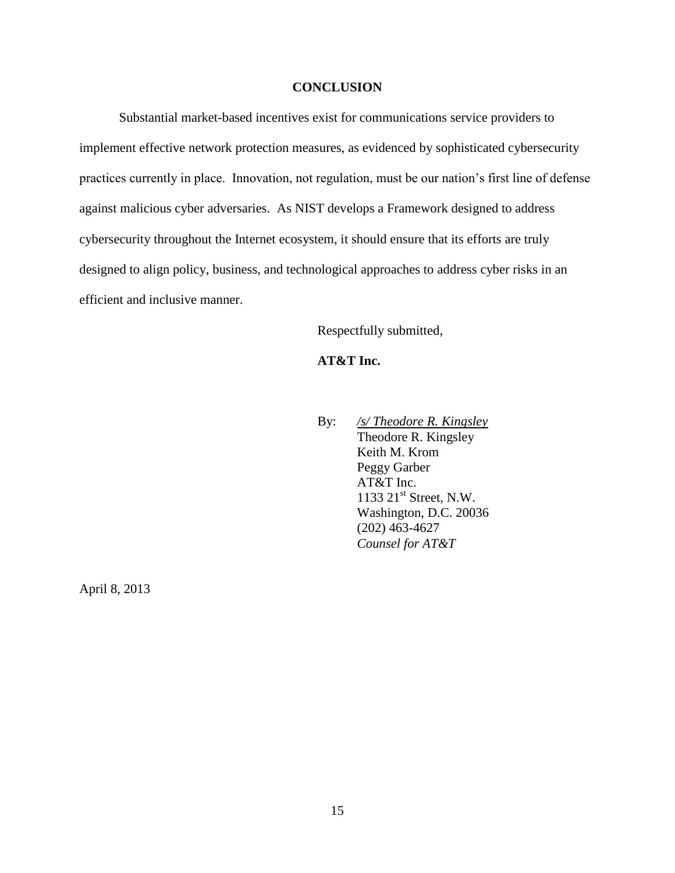## **CONCLUSION**

Substantial market-based incentives exist for communications service providers to implement effective network protection measures, as evidenced by sophisticated cybersecurity practices currently in place. Innovation, not regulation, must be our nation's first line of defense against malicious cyber adversaries. As NIST develops a Framework designed to address cybersecurity throughout the Internet ecosystem, it should ensure that its efforts are truly designed to align policy, business, and technological approaches to address cyber risks in an efficient and inclusive manner.

Respectfully submitted,

# **AT&T Inc.**

By: */s/ Theodore R. Kingsley* Theodore R. Kingsley Keith M. Krom Peggy Garber AT&T Inc. 1133 21<sup>st</sup> Street, N.W. Washington, D.C. 20036 (202) 463-4627 *Counsel for AT&T*

April 8, 2013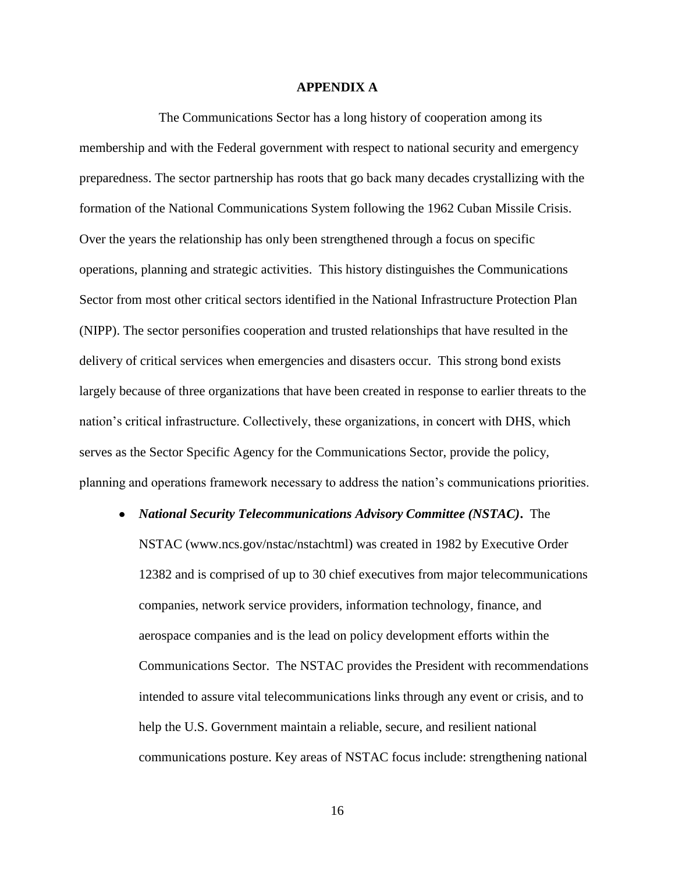#### **APPENDIX A**

The Communications Sector has a long history of cooperation among its membership and with the Federal government with respect to national security and emergency preparedness. The sector partnership has roots that go back many decades crystallizing with the formation of the National Communications System following the 1962 Cuban Missile Crisis. Over the years the relationship has only been strengthened through a focus on specific operations, planning and strategic activities. This history distinguishes the Communications Sector from most other critical sectors identified in the National Infrastructure Protection Plan (NIPP). The sector personifies cooperation and trusted relationships that have resulted in the delivery of critical services when emergencies and disasters occur. This strong bond exists largely because of three organizations that have been created in response to earlier threats to the nation's critical infrastructure. Collectively, these organizations, in concert with DHS, which serves as the Sector Specific Agency for the Communications Sector, provide the policy, planning and operations framework necessary to address the nation's communications priorities.

#### *National Security Telecommunications Advisory Committee (NSTAC)***.** The

NSTAC (www.ncs.gov/nstac/nstachtml) was created in 1982 by Executive Order 12382 and is comprised of up to 30 chief executives from major telecommunications companies, network service providers, information technology, finance, and aerospace companies and is the lead on policy development efforts within the Communications Sector. The NSTAC provides the President with recommendations intended to assure vital telecommunications links through any event or crisis, and to help the U.S. Government maintain a reliable, secure, and resilient national communications posture. Key areas of NSTAC focus include: strengthening national

16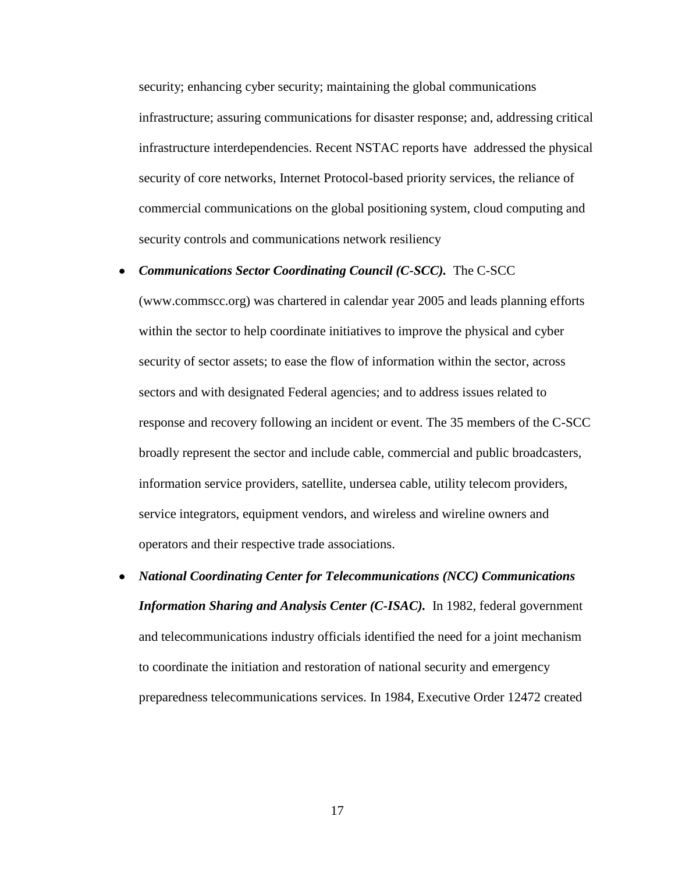security; enhancing cyber security; maintaining the global communications infrastructure; assuring communications for disaster response; and, addressing critical infrastructure interdependencies. Recent NSTAC reports have addressed the physical security of core networks, Internet Protocol-based priority services, the reliance of commercial communications on the global positioning system, cloud computing and security controls and communications network resiliency

*Communications Sector Coordinating Council (C-SCC).*The C-SCC

(www.commscc.org) was chartered in calendar year 2005 and leads planning efforts within the sector to help coordinate initiatives to improve the physical and cyber security of sector assets; to ease the flow of information within the sector, across sectors and with designated Federal agencies; and to address issues related to response and recovery following an incident or event. The 35 members of the C-SCC broadly represent the sector and include cable, commercial and public broadcasters, information service providers, satellite, undersea cable, utility telecom providers, service integrators, equipment vendors, and wireless and wireline owners and operators and their respective trade associations.

*National Coordinating Center for Telecommunications (NCC) Communications Information Sharing and Analysis Center (C-ISAC).*In 1982, federal government and telecommunications industry officials identified the need for a joint mechanism to coordinate the initiation and restoration of national security and emergency preparedness telecommunications services. In 1984, Executive Order 12472 created

17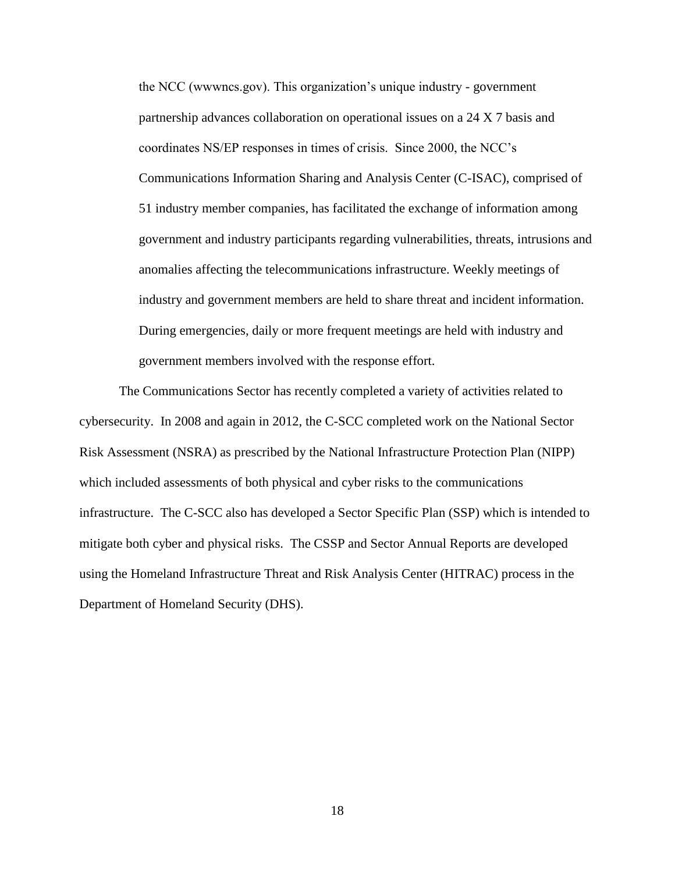the NCC (wwwncs.gov). This organization's unique industry - government partnership advances collaboration on operational issues on a 24 X 7 basis and coordinates NS/EP responses in times of crisis. Since 2000, the NCC's Communications Information Sharing and Analysis Center (C-ISAC), comprised of 51 industry member companies, has facilitated the exchange of information among government and industry participants regarding vulnerabilities, threats, intrusions and anomalies affecting the telecommunications infrastructure. Weekly meetings of industry and government members are held to share threat and incident information. During emergencies, daily or more frequent meetings are held with industry and government members involved with the response effort.

The Communications Sector has recently completed a variety of activities related to cybersecurity. In 2008 and again in 2012, the C-SCC completed work on the National Sector Risk Assessment (NSRA) as prescribed by the National Infrastructure Protection Plan (NIPP) which included assessments of both physical and cyber risks to the communications infrastructure. The C-SCC also has developed a Sector Specific Plan (SSP) which is intended to mitigate both cyber and physical risks. The CSSP and Sector Annual Reports are developed using the Homeland Infrastructure Threat and Risk Analysis Center (HITRAC) process in the Department of Homeland Security (DHS).